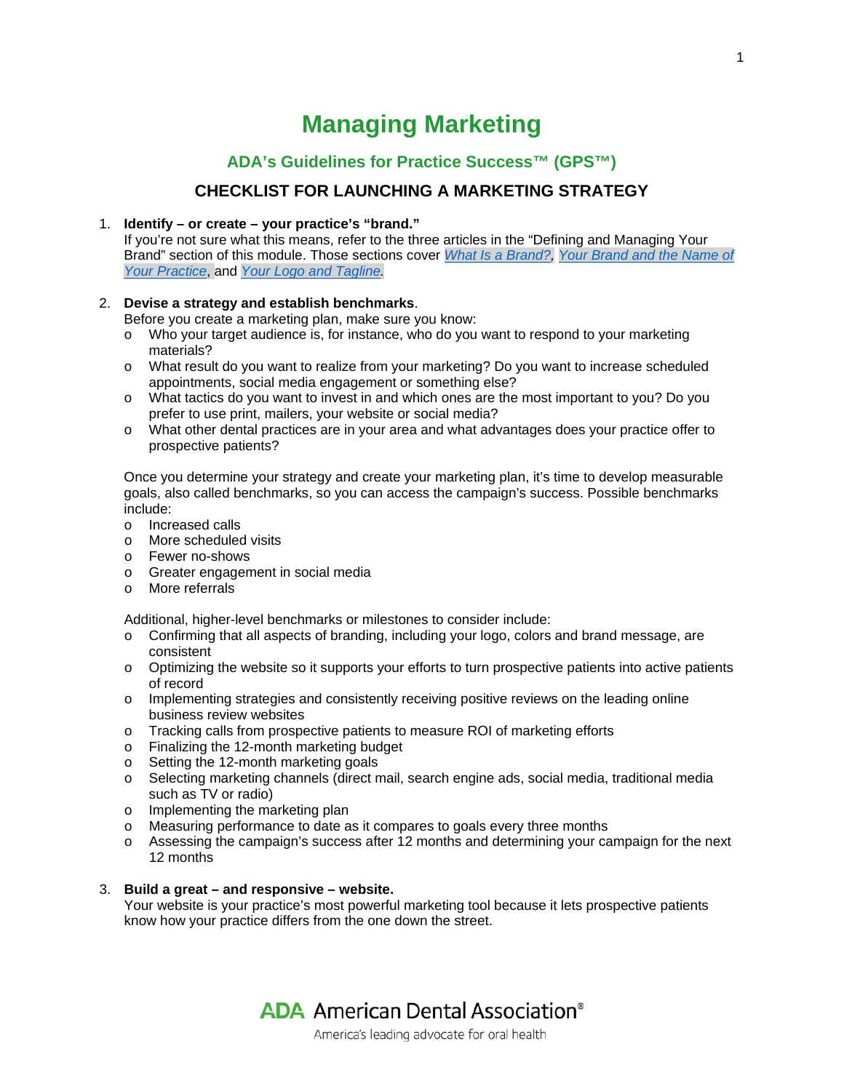# **Managing Marketing**

# **ADA's Guidelines for Practice Success™ (GPS™)**

# **CHECKLIST FOR LAUNCHING A MARKETING STRATEGY**

# 1. **Identify – or create – your practice's "brand."**

If you're not sure what this means, refer to the three articles in the "Defining and Managing Your Brand" section of this module. Those sections cover *[What Is a Brand?,](https://success.ada.org/en/practice-management/guidelines-for-practice-success/managing-marketing/14_definemanagebrand_whatisabrand) [Your Brand and the Name of](https://success.ada.org/en/practice-management/guidelines-for-practice-success/managing-marketing/15_definemanagebrand_yournameandnameofpractice)  [Your Practice](https://success.ada.org/en/practice-management/guidelines-for-practice-success/managing-marketing/15_definemanagebrand_yournameandnameofpractice)*, and *[Your Logo and Tagline.](https://success.ada.org/en/practice-management/guidelines-for-practice-success/managing-marketing/16_definemanagebrand_yourlogoandtagline)*

# 2. **Devise a strategy and establish benchmarks**.

Before you create a marketing plan, make sure you know:

- o Who your target audience is, for instance, who do you want to respond to your marketing materials?
- o What result do you want to realize from your marketing? Do you want to increase scheduled appointments, social media engagement or something else?
- o What tactics do you want to invest in and which ones are the most important to you? Do you prefer to use print, mailers, your website or social media?
- o What other dental practices are in your area and what advantages does your practice offer to prospective patients?

Once you determine your strategy and create your marketing plan, it's time to develop measurable goals, also called benchmarks, so you can access the campaign's success. Possible benchmarks include:

- o Increased calls
- o More scheduled visits
- o Fewer no-shows
- o Greater engagement in social media
- o More referrals

Additional, higher-level benchmarks or milestones to consider include:

- o Confirming that all aspects of branding, including your logo, colors and brand message, are consistent
- o Optimizing the website so it supports your efforts to turn prospective patients into active patients of record
- o Implementing strategies and consistently receiving positive reviews on the leading online business review websites
- o Tracking calls from prospective patients to measure ROI of marketing efforts
- o Finalizing the 12-month marketing budget
- o Setting the 12-month marketing goals
- o Selecting marketing channels (direct mail, search engine ads, social media, traditional media such as TV or radio)
- o Implementing the marketing plan
- o Measuring performance to date as it compares to goals every three months
- o Assessing the campaign's success after 12 months and determining your campaign for the next 12 months

## 3. **Build a great – and responsive – website.**

Your website is your practice's most powerful marketing tool because it lets prospective patients know how your practice differs from the one down the street.